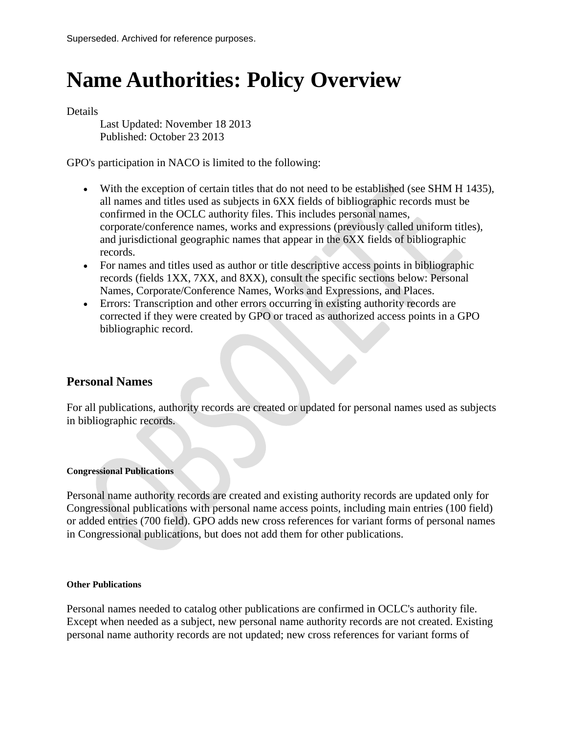# **Name Authorities: Policy Overview**

Details

Last Updated: November 18 2013 Published: October 23 2013

GPO's participation in NACO is limited to the following:

- With the exception of certain titles that do not need to be established (see SHM H 1435), all names and titles used as subjects in 6XX fields of bibliographic records must be confirmed in the OCLC authority files. This includes personal names, corporate/conference names, works and expressions (previously called uniform titles), and jurisdictional geographic names that appear in the 6XX fields of bibliographic records.
- For names and titles used as author or title descriptive access points in bibliographic records (fields 1XX, 7XX, and 8XX), consult the specific sections below: Personal Names, Corporate/Conference Names, Works and Expressions, and Places.
- Errors: Transcription and other errors occurring in existing authority records are corrected if they were created by GPO or traced as authorized access points in a GPO bibliographic record.

# **Personal Names**

For all publications, authority records are created or updated for personal names used as subjects in bibliographic records.

## **Congressional Publications**

Personal name authority records are created and existing authority records are updated only for Congressional publications with personal name access points, including main entries (100 field) or added entries (700 field). GPO adds new cross references for variant forms of personal names in Congressional publications, but does not add them for other publications.

## **Other Publications**

Personal names needed to catalog other publications are confirmed in OCLC's authority file. Except when needed as a subject, new personal name authority records are not created. Existing personal name authority records are not updated; new cross references for variant forms of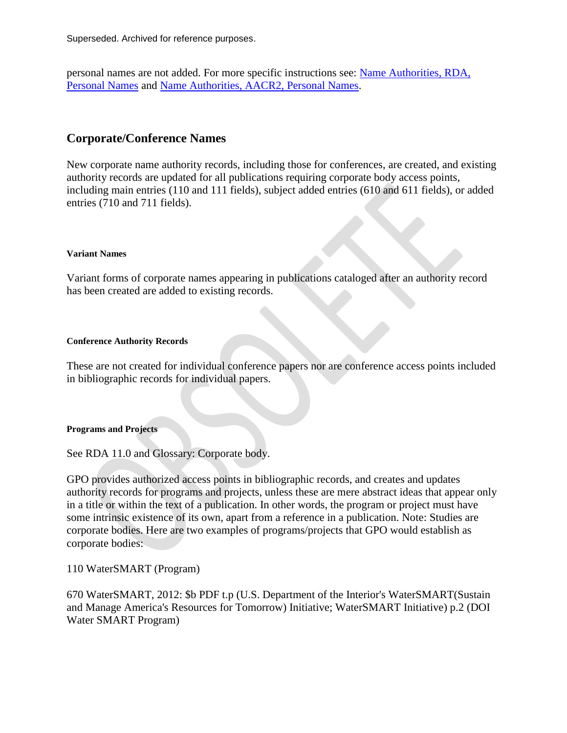personal names are not added. For more specific instructions see: [Name Authorities, RDA,](http://www.fdlp.gov/2013-09-18-15-18-03/link-item/1761-name-authorities-rda-personal-names)  [Personal Names](http://www.fdlp.gov/2013-09-18-15-18-03/link-item/1761-name-authorities-rda-personal-names) and [Name Authorities, AACR2, Personal Names.](http://www.fdlp.gov/2013-09-18-15-18-03/link-item/1769-name-authorities-aacr2-personal-names)

## **Corporate/Conference Names**

New corporate name authority records, including those for conferences, are created, and existing authority records are updated for all publications requiring corporate body access points, including main entries (110 and 111 fields), subject added entries (610 and 611 fields), or added entries (710 and 711 fields).

#### **Variant Names**

Variant forms of corporate names appearing in publications cataloged after an authority record has been created are added to existing records.

#### **Conference Authority Records**

These are not created for individual conference papers nor are conference access points included in bibliographic records for individual papers.

#### **Programs and Projects**

See RDA 11.0 and Glossary: Corporate body.

GPO provides authorized access points in bibliographic records, and creates and updates authority records for programs and projects, unless these are mere abstract ideas that appear only in a title or within the text of a publication. In other words, the program or project must have some intrinsic existence of its own, apart from a reference in a publication. Note: Studies are corporate bodies. Here are two examples of programs/projects that GPO would establish as corporate bodies:

## 110 WaterSMART (Program)

670 WaterSMART, 2012: \$b PDF t.p (U.S. Department of the Interior's WaterSMART(Sustain and Manage America's Resources for Tomorrow) Initiative; WaterSMART Initiative) p.2 (DOI Water SMART Program)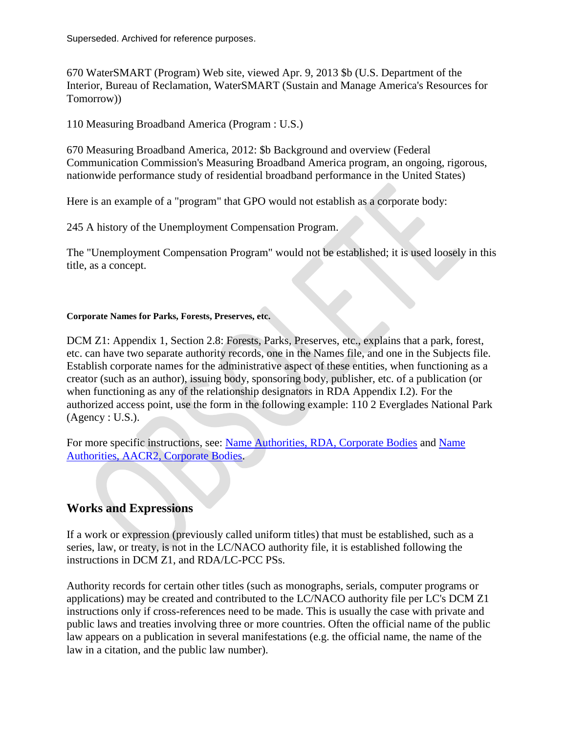670 WaterSMART (Program) Web site, viewed Apr. 9, 2013 \$b (U.S. Department of the Interior, Bureau of Reclamation, WaterSMART (Sustain and Manage America's Resources for Tomorrow))

110 Measuring Broadband America (Program : U.S.)

670 Measuring Broadband America, 2012: \$b Background and overview (Federal Communication Commission's Measuring Broadband America program, an ongoing, rigorous, nationwide performance study of residential broadband performance in the United States)

Here is an example of a "program" that GPO would not establish as a corporate body:

245 A history of the Unemployment Compensation Program.

The "Unemployment Compensation Program" would not be established; it is used loosely in this title, as a concept.

## **Corporate Names for Parks, Forests, Preserves, etc.**

DCM Z1: Appendix 1, Section 2.8: Forests, Parks, Preserves, etc., explains that a park, forest, etc. can have two separate authority records, one in the Names file, and one in the Subjects file. Establish corporate names for the administrative aspect of these entities, when functioning as a creator (such as an author), issuing body, sponsoring body, publisher, etc. of a publication (or when functioning as any of the relationship designators in RDA Appendix I.2). For the authorized access point, use the form in the following example: 110 2 Everglades National Park  $(Agency: U.S.).$ 

For more specific instructions, see: [Name Authorities, RDA, Corporate Bodies](http://www.fdlp.gov/2013-09-18-15-18-03/link-item/1762-name-authorities-rda-corporate-names) and [Name](http://www.fdlp.gov/2013-09-18-15-18-03/link-item/1770-name-authorities-aacr2-corporate-bodies)  [Authorities, AACR2, Corporate Bodies.](http://www.fdlp.gov/2013-09-18-15-18-03/link-item/1770-name-authorities-aacr2-corporate-bodies)

# **Works and Expressions**

If a work or expression (previously called uniform titles) that must be established, such as a series, law, or treaty, is not in the LC/NACO authority file, it is established following the instructions in DCM Z1, and RDA/LC-PCC PSs.

Authority records for certain other titles (such as monographs, serials, computer programs or applications) may be created and contributed to the LC/NACO authority file per LC's DCM Z1 instructions only if cross-references need to be made. This is usually the case with private and public laws and treaties involving three or more countries. Often the official name of the public law appears on a publication in several manifestations (e.g. the official name, the name of the law in a citation, and the public law number).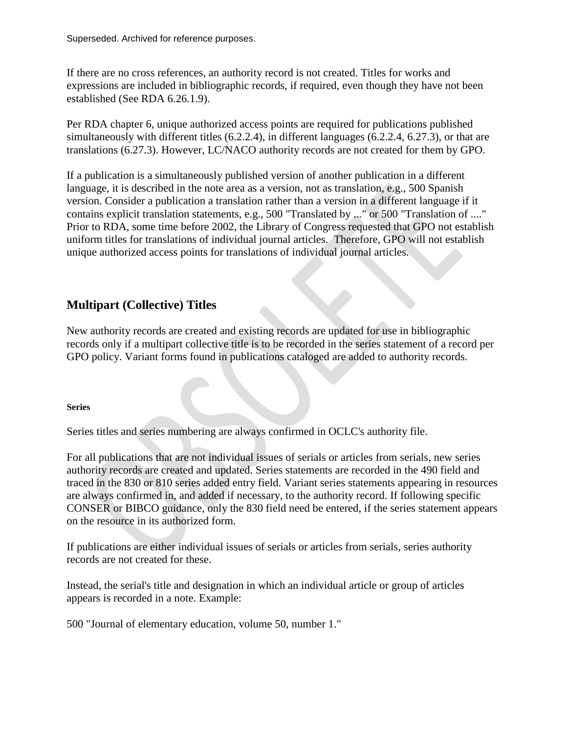If there are no cross references, an authority record is not created. Titles for works and expressions are included in bibliographic records, if required, even though they have not been established (See RDA 6.26.1.9).

Per RDA chapter 6, unique authorized access points are required for publications published simultaneously with different titles (6.2.2.4), in different languages (6.2.2.4, 6.27.3), or that are translations (6.27.3). However, LC/NACO authority records are not created for them by GPO.

If a publication is a simultaneously published version of another publication in a different language, it is described in the note area as a version, not as translation, e.g., 500 Spanish version. Consider a publication a translation rather than a version in a different language if it contains explicit translation statements, e.g., 500 "Translated by ..." or 500 "Translation of ...." Prior to RDA, some time before 2002, the Library of Congress requested that GPO not establish uniform titles for translations of individual journal articles. Therefore, GPO will not establish unique authorized access points for translations of individual journal articles.

# **Multipart (Collective) Titles**

New authority records are created and existing records are updated for use in bibliographic records only if a multipart collective title is to be recorded in the series statement of a record per GPO policy. Variant forms found in publications cataloged are added to authority records.

## **Series**

Series titles and series numbering are always confirmed in OCLC's authority file.

For all publications that are not individual issues of serials or articles from serials, new series authority records are created and updated. Series statements are recorded in the 490 field and traced in the 830 or 810 series added entry field. Variant series statements appearing in resources are always confirmed in, and added if necessary, to the authority record. If following specific CONSER or BIBCO guidance, only the 830 field need be entered, if the series statement appears on the resource in its authorized form.

If publications are either individual issues of serials or articles from serials, series authority records are not created for these.

Instead, the serial's title and designation in which an individual article or group of articles appears is recorded in a note. Example:

500 "Journal of elementary education, volume 50, number 1."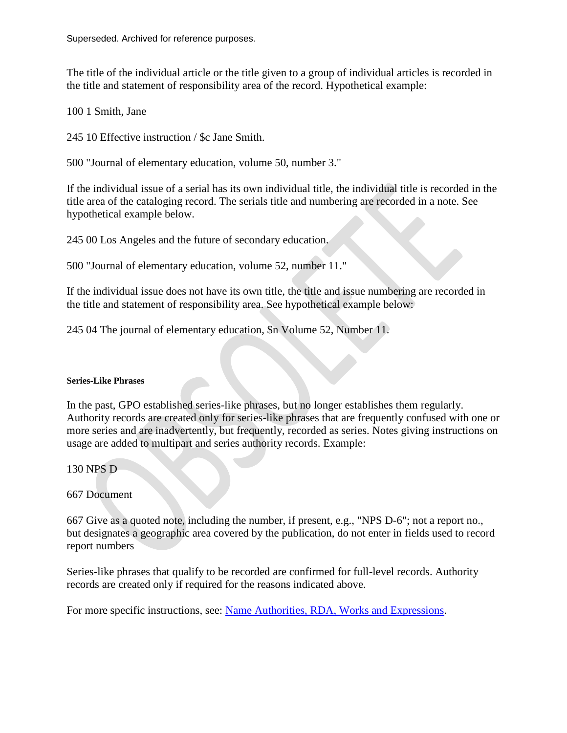The title of the individual article or the title given to a group of individual articles is recorded in the title and statement of responsibility area of the record. Hypothetical example:

100 1 Smith, Jane

245 10 Effective instruction / \$c Jane Smith.

500 "Journal of elementary education, volume 50, number 3."

If the individual issue of a serial has its own individual title, the individual title is recorded in the title area of the cataloging record. The serials title and numbering are recorded in a note. See hypothetical example below.

245 00 Los Angeles and the future of secondary education.

500 "Journal of elementary education, volume 52, number 11."

If the individual issue does not have its own title, the title and issue numbering are recorded in the title and statement of responsibility area. See hypothetical example below:

245 04 The journal of elementary education, \$n Volume 52, Number 11.

## **Series-Like Phrases**

In the past, GPO established series-like phrases, but no longer establishes them regularly. Authority records are created only for series-like phrases that are frequently confused with one or more series and are inadvertently, but frequently, recorded as series. Notes giving instructions on usage are added to multipart and series authority records. Example:

130 NPS D

667 Document

667 Give as a quoted note, including the number, if present, e.g., "NPS D-6"; not a report no., but designates a geographic area covered by the publication, do not enter in fields used to record report numbers

Series-like phrases that qualify to be recorded are confirmed for full-level records. Authority records are created only if required for the reasons indicated above.

For more specific instructions, see: [Name Authorities, RDA, Works and Expressions.](http://www.fdlp.gov/2013-09-18-15-18-03/link-item/1763-name-authorities-rda-works-expressions)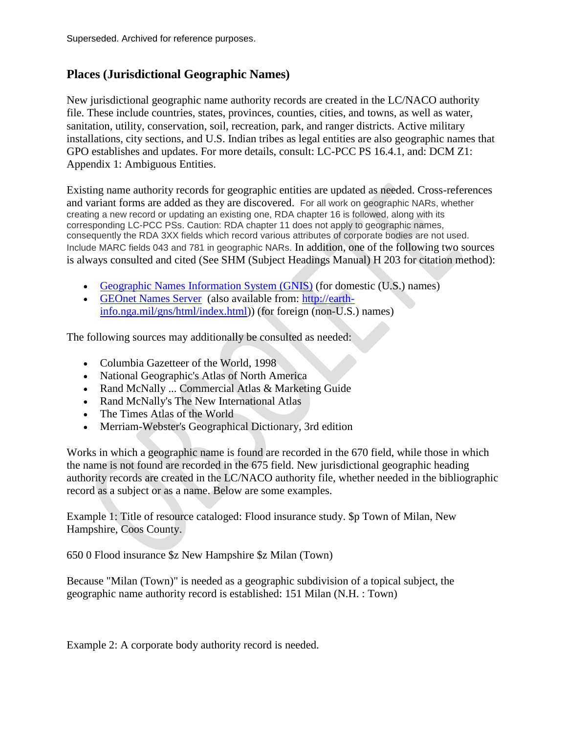## **Places (Jurisdictional Geographic Names)**

New jurisdictional geographic name authority records are created in the LC/NACO authority file. These include countries, states, provinces, counties, cities, and towns, as well as water, sanitation, utility, conservation, soil, recreation, park, and ranger districts. Active military installations, city sections, and U.S. Indian tribes as legal entities are also geographic names that GPO establishes and updates. For more details, consult: LC-PCC PS 16.4.1, and: DCM Z1: Appendix 1: Ambiguous Entities.

Existing name authority records for geographic entities are updated as needed. Cross-references and variant forms are added as they are discovered. For all work on geographic NARs, whether creating a new record or updating an existing one, RDA chapter 16 is followed, along with its corresponding LC-PCC PSs. Caution: RDA chapter 11 does not apply to geographic names, consequently the RDA 3XX fields which record various attributes of corporate bodies are not used. Include MARC fields 043 and 781 in geographic NARs. In addition, one of the following two sources is always consulted and cited (See SHM (Subject Headings Manual) H 203 for citation method):

- [Geographic Names Information System \(GNIS\)](http://geonames.usgs.gov/pls/gnispublic) (for domestic (U.S.) names)
- [GEOnet Names Server](http://geonames.nga.mil/ggmagaz/) (also available from: [http://earth](http://earth-info.nga.mil/gns/html/index.html)[info.nga.mil/gns/html/index.html\)](http://earth-info.nga.mil/gns/html/index.html)) (for foreign (non-U.S.) names)

The following sources may additionally be consulted as needed:

- Columbia Gazetteer of the World, 1998
- National Geographic's Atlas of North America
- Rand McNally ... Commercial Atlas & Marketing Guide
- Rand McNally's The New International Atlas
- The Times Atlas of the World
- Merriam-Webster's Geographical Dictionary, 3rd edition

Works in which a geographic name is found are recorded in the 670 field, while those in which the name is not found are recorded in the 675 field. New jurisdictional geographic heading authority records are created in the LC/NACO authority file, whether needed in the bibliographic record as a subject or as a name. Below are some examples.

Example 1: Title of resource cataloged: Flood insurance study. \$p Town of Milan, New Hampshire, Coos County.

650 0 Flood insurance \$z New Hampshire \$z Milan (Town)

Because "Milan (Town)" is needed as a geographic subdivision of a topical subject, the geographic name authority record is established: 151 Milan (N.H. : Town)

Example 2: A corporate body authority record is needed.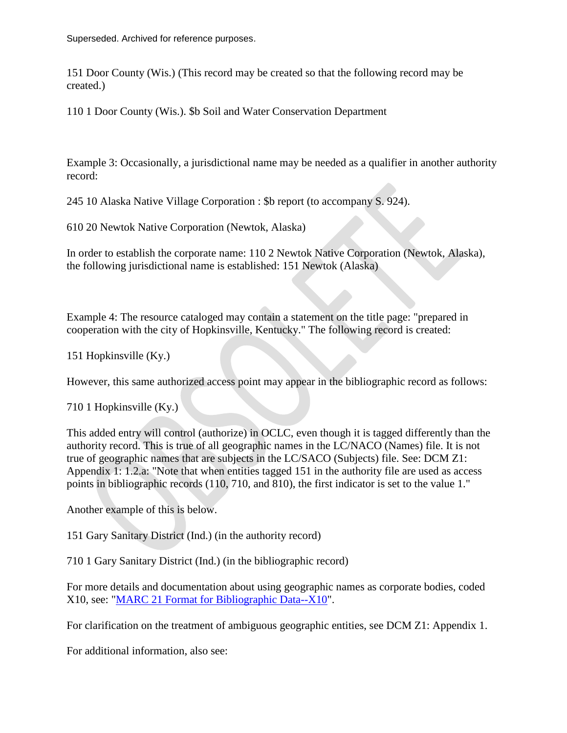151 Door County (Wis.) (This record may be created so that the following record may be created.)

110 1 Door County (Wis.). \$b Soil and Water Conservation Department

Example 3: Occasionally, a jurisdictional name may be needed as a qualifier in another authority record:

245 10 Alaska Native Village Corporation : \$b report (to accompany S. 924).

610 20 Newtok Native Corporation (Newtok, Alaska)

In order to establish the corporate name: 110 2 Newtok Native Corporation (Newtok, Alaska), the following jurisdictional name is established: 151 Newtok (Alaska)

Example 4: The resource cataloged may contain a statement on the title page: "prepared in cooperation with the city of Hopkinsville, Kentucky." The following record is created:

151 Hopkinsville (Ky.)

However, this same authorized access point may appear in the bibliographic record as follows:

710 1 Hopkinsville (Ky.)

This added entry will control (authorize) in OCLC, even though it is tagged differently than the authority record. This is true of all geographic names in the LC/NACO (Names) file. It is not true of geographic names that are subjects in the LC/SACO (Subjects) file. See: DCM Z1: Appendix 1: 1.2.a: "Note that when entities tagged 151 in the authority file are used as access points in bibliographic records (110, 710, and 810), the first indicator is set to the value 1."

Another example of this is below.

151 Gary Sanitary District (Ind.) (in the authority record)

710 1 Gary Sanitary District (Ind.) (in the bibliographic record)

For more details and documentation about using geographic names as corporate bodies, coded X10, see: ["MARC 21 Format for Bibliographic Data--X10"](http://www.loc.gov/marc/bibliographic/bdx10.html).

For clarification on the treatment of ambiguous geographic entities, see DCM Z1: Appendix 1.

For additional information, also see: